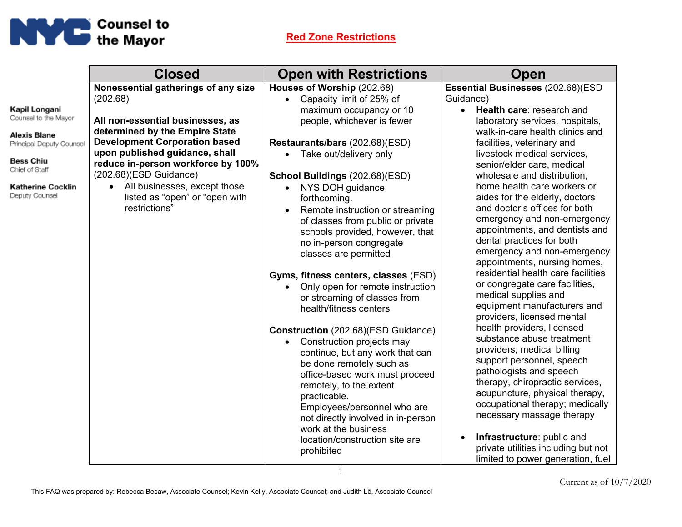

|                          | <b>Closed</b>                        | <b>Open with Restrictions</b>                              | Open                                                      |
|--------------------------|--------------------------------------|------------------------------------------------------------|-----------------------------------------------------------|
|                          | Nonessential gatherings of any size  | Houses of Worship (202.68)                                 | Essential Businesses (202.68)(ESD                         |
|                          | (202.68)                             | Capacity limit of 25% of<br>$\bullet$                      | Guidance)                                                 |
| Kapil Longani            |                                      | maximum occupancy or 10                                    | Health care: research and<br>$\bullet$                    |
| Counsel to the Mayor     | All non-essential businesses, as     | people, whichever is fewer                                 | laboratory services, hospitals,                           |
| <b>Alexis Blane</b>      | determined by the Empire State       |                                                            | walk-in-care health clinics and                           |
| Principal Deputy Counsel | <b>Development Corporation based</b> | Restaurants/bars (202.68)(ESD)                             | facilities, veterinary and                                |
| <b>Bess Chiu</b>         | upon published guidance, shall       | • Take out/delivery only                                   | livestock medical services,                               |
| Chief of Staff           | reduce in-person workforce by 100%   |                                                            | senior/elder care, medical                                |
|                          | $(202.68)(ESD$ Guidance)             | School Buildings (202.68)(ESD)                             | wholesale and distribution,                               |
| <b>Katherine Cocklin</b> | All businesses, except those         | NYS DOH guidance<br>$\bullet$                              | home health care workers or                               |
| Deputy Counsel           | listed as "open" or "open with       | forthcoming.                                               | aides for the elderly, doctors                            |
|                          | restrictions"                        | Remote instruction or streaming<br>$\bullet$               | and doctor's offices for both                             |
|                          |                                      | of classes from public or private                          | emergency and non-emergency                               |
|                          |                                      | schools provided, however, that                            | appointments, and dentists and                            |
|                          |                                      | no in-person congregate                                    | dental practices for both                                 |
|                          |                                      | classes are permitted                                      | emergency and non-emergency                               |
|                          |                                      |                                                            | appointments, nursing homes,                              |
|                          |                                      | Gyms, fitness centers, classes (ESD)                       | residential health care facilities                        |
|                          |                                      | Only open for remote instruction<br>$\bullet$              | or congregate care facilities,                            |
|                          |                                      | or streaming of classes from                               | medical supplies and                                      |
|                          |                                      | health/fitness centers                                     | equipment manufacturers and<br>providers, licensed mental |
|                          |                                      |                                                            | health providers, licensed                                |
|                          |                                      | <b>Construction</b> (202.68)(ESD Guidance)                 | substance abuse treatment                                 |
|                          |                                      | Construction projects may                                  | providers, medical billing                                |
|                          |                                      | continue, but any work that can                            | support personnel, speech                                 |
|                          |                                      | be done remotely such as                                   | pathologists and speech                                   |
|                          |                                      | office-based work must proceed                             | therapy, chiropractic services,                           |
|                          |                                      | remotely, to the extent                                    | acupuncture, physical therapy,                            |
|                          |                                      | practicable.                                               | occupational therapy; medically                           |
|                          |                                      | Employees/personnel who are                                | necessary massage therapy                                 |
|                          |                                      | not directly involved in in-person<br>work at the business |                                                           |
|                          |                                      | location/construction site are                             | Infrastructure: public and                                |
|                          |                                      | prohibited                                                 | private utilities including but not                       |
|                          |                                      |                                                            | limited to power generation, fuel                         |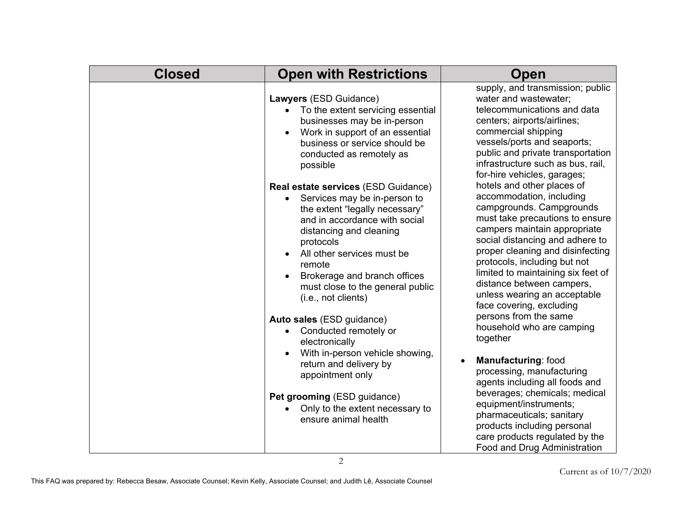| <b>Closed</b> | <b>Open with Restrictions</b>                                                                                                                                                                                                                                                                                                                                                                                                                                                                                                                                                                                                                                                                                                                                                                                                                   | Open                                                                                                                                                                                                                                                                                                                                                                                                                                                                                                                                                                                                                                                                                                                                                                                                                                                                                                                                                                 |
|---------------|-------------------------------------------------------------------------------------------------------------------------------------------------------------------------------------------------------------------------------------------------------------------------------------------------------------------------------------------------------------------------------------------------------------------------------------------------------------------------------------------------------------------------------------------------------------------------------------------------------------------------------------------------------------------------------------------------------------------------------------------------------------------------------------------------------------------------------------------------|----------------------------------------------------------------------------------------------------------------------------------------------------------------------------------------------------------------------------------------------------------------------------------------------------------------------------------------------------------------------------------------------------------------------------------------------------------------------------------------------------------------------------------------------------------------------------------------------------------------------------------------------------------------------------------------------------------------------------------------------------------------------------------------------------------------------------------------------------------------------------------------------------------------------------------------------------------------------|
|               | Lawyers (ESD Guidance)<br>To the extent servicing essential<br>$\bullet$<br>businesses may be in-person<br>Work in support of an essential<br>$\bullet$<br>business or service should be<br>conducted as remotely as<br>possible<br>Real estate services (ESD Guidance)<br>Services may be in-person to<br>$\bullet$<br>the extent "legally necessary"<br>and in accordance with social<br>distancing and cleaning<br>protocols<br>All other services must be<br>$\bullet$<br>remote<br>Brokerage and branch offices<br>must close to the general public<br>(i.e., not clients)<br>Auto sales (ESD guidance)<br>Conducted remotely or<br>$\bullet$<br>electronically<br>With in-person vehicle showing,<br>return and delivery by<br>appointment only<br>Pet grooming (ESD guidance)<br>Only to the extent necessary to<br>ensure animal health | supply, and transmission; public<br>water and wastewater;<br>telecommunications and data<br>centers; airports/airlines;<br>commercial shipping<br>vessels/ports and seaports;<br>public and private transportation<br>infrastructure such as bus, rail,<br>for-hire vehicles, garages;<br>hotels and other places of<br>accommodation, including<br>campgrounds. Campgrounds<br>must take precautions to ensure<br>campers maintain appropriate<br>social distancing and adhere to<br>proper cleaning and disinfecting<br>protocols, including but not<br>limited to maintaining six feet of<br>distance between campers,<br>unless wearing an acceptable<br>face covering, excluding<br>persons from the same<br>household who are camping<br>together<br>Manufacturing: food<br>processing, manufacturing<br>agents including all foods and<br>beverages; chemicals; medical<br>equipment/instruments;<br>pharmaceuticals; sanitary<br>products including personal |
|               |                                                                                                                                                                                                                                                                                                                                                                                                                                                                                                                                                                                                                                                                                                                                                                                                                                                 | care products regulated by the<br>Food and Drug Administration                                                                                                                                                                                                                                                                                                                                                                                                                                                                                                                                                                                                                                                                                                                                                                                                                                                                                                       |

2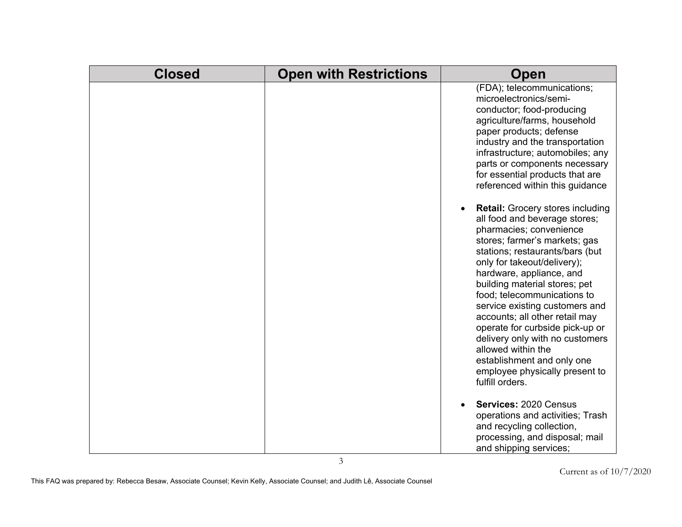| <b>Closed</b> | <b>Open with Restrictions</b> | <b>Open</b>                                                                                                                                                                                                                                                                                                                                                                                                                                                                                                                                           |
|---------------|-------------------------------|-------------------------------------------------------------------------------------------------------------------------------------------------------------------------------------------------------------------------------------------------------------------------------------------------------------------------------------------------------------------------------------------------------------------------------------------------------------------------------------------------------------------------------------------------------|
|               |                               | (FDA); telecommunications;<br>microelectronics/semi-<br>conductor; food-producing<br>agriculture/farms, household<br>paper products; defense<br>industry and the transportation<br>infrastructure; automobiles; any<br>parts or components necessary<br>for essential products that are<br>referenced within this guidance                                                                                                                                                                                                                            |
|               |                               | <b>Retail:</b> Grocery stores including<br>all food and beverage stores;<br>pharmacies; convenience<br>stores; farmer's markets; gas<br>stations; restaurants/bars (but<br>only for takeout/delivery);<br>hardware, appliance, and<br>building material stores; pet<br>food; telecommunications to<br>service existing customers and<br>accounts; all other retail may<br>operate for curbside pick-up or<br>delivery only with no customers<br>allowed within the<br>establishment and only one<br>employee physically present to<br>fulfill orders. |
|               |                               | Services: 2020 Census<br>operations and activities; Trash<br>and recycling collection,<br>processing, and disposal; mail<br>and shipping services;                                                                                                                                                                                                                                                                                                                                                                                                    |

3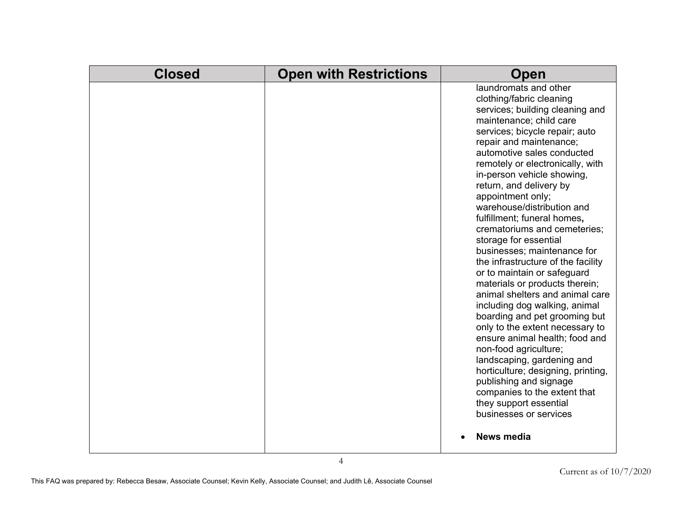| <b>Closed</b> | <b>Open with Restrictions</b> | Open                                                                                                                                                                                                                                                                                                                                                                                                                                                                                                                                                                                                                                                                                                                                                                                                                                                                                                                                                                                               |
|---------------|-------------------------------|----------------------------------------------------------------------------------------------------------------------------------------------------------------------------------------------------------------------------------------------------------------------------------------------------------------------------------------------------------------------------------------------------------------------------------------------------------------------------------------------------------------------------------------------------------------------------------------------------------------------------------------------------------------------------------------------------------------------------------------------------------------------------------------------------------------------------------------------------------------------------------------------------------------------------------------------------------------------------------------------------|
|               |                               | laundromats and other<br>clothing/fabric cleaning<br>services; building cleaning and<br>maintenance; child care<br>services; bicycle repair; auto<br>repair and maintenance;<br>automotive sales conducted<br>remotely or electronically, with<br>in-person vehicle showing,<br>return, and delivery by<br>appointment only;<br>warehouse/distribution and<br>fulfillment; funeral homes,<br>crematoriums and cemeteries;<br>storage for essential<br>businesses; maintenance for<br>the infrastructure of the facility<br>or to maintain or safeguard<br>materials or products therein;<br>animal shelters and animal care<br>including dog walking, animal<br>boarding and pet grooming but<br>only to the extent necessary to<br>ensure animal health; food and<br>non-food agriculture;<br>landscaping, gardening and<br>horticulture; designing, printing,<br>publishing and signage<br>companies to the extent that<br>they support essential<br>businesses or services<br><b>News media</b> |
|               |                               |                                                                                                                                                                                                                                                                                                                                                                                                                                                                                                                                                                                                                                                                                                                                                                                                                                                                                                                                                                                                    |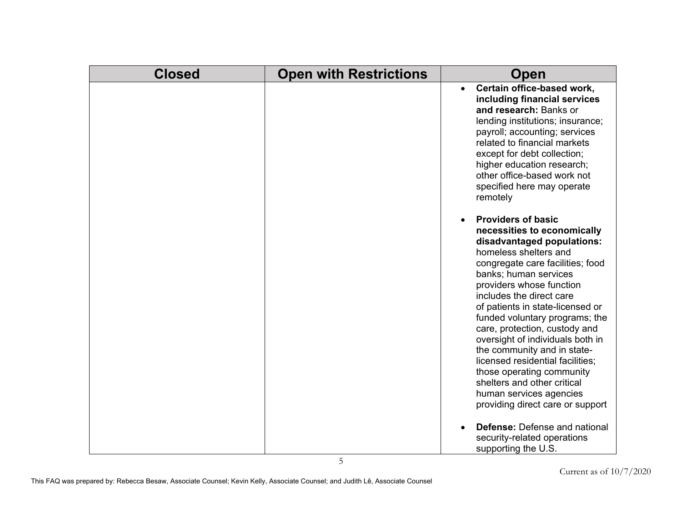| <b>Closed</b> | <b>Open with Restrictions</b> | Open                                                                                                                                                                                                                                                                                                                                                                                                                                                                                                                                                                          |
|---------------|-------------------------------|-------------------------------------------------------------------------------------------------------------------------------------------------------------------------------------------------------------------------------------------------------------------------------------------------------------------------------------------------------------------------------------------------------------------------------------------------------------------------------------------------------------------------------------------------------------------------------|
|               |                               | Certain office-based work,<br>$\bullet$<br>including financial services<br>and research: Banks or<br>lending institutions; insurance;<br>payroll; accounting; services<br>related to financial markets<br>except for debt collection;<br>higher education research;<br>other office-based work not<br>specified here may operate<br>remotely                                                                                                                                                                                                                                  |
|               |                               | <b>Providers of basic</b><br>necessities to economically<br>disadvantaged populations:<br>homeless shelters and<br>congregate care facilities; food<br>banks; human services<br>providers whose function<br>includes the direct care<br>of patients in state-licensed or<br>funded voluntary programs; the<br>care, protection, custody and<br>oversight of individuals both in<br>the community and in state-<br>licensed residential facilities;<br>those operating community<br>shelters and other critical<br>human services agencies<br>providing direct care or support |
|               | 5                             | <b>Defense:</b> Defense and national<br>security-related operations<br>supporting the U.S.                                                                                                                                                                                                                                                                                                                                                                                                                                                                                    |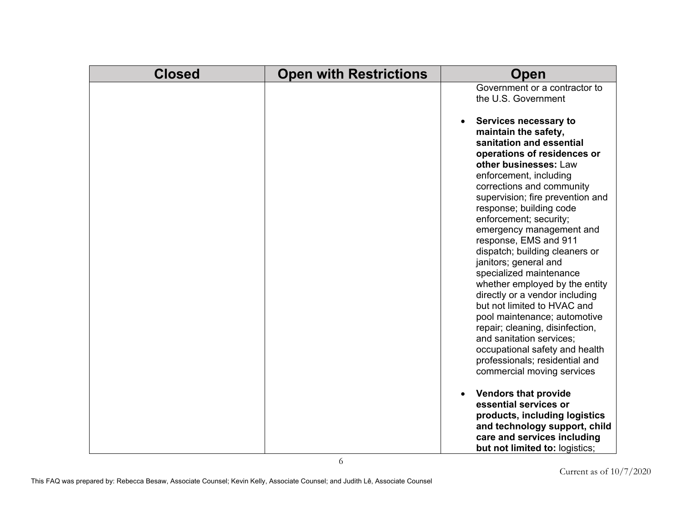| <b>Closed</b> | <b>Open with Restrictions</b> | Open                                                                                                                                                                                                                                                                                                                                                                                                                                                                                                                   |
|---------------|-------------------------------|------------------------------------------------------------------------------------------------------------------------------------------------------------------------------------------------------------------------------------------------------------------------------------------------------------------------------------------------------------------------------------------------------------------------------------------------------------------------------------------------------------------------|
|               |                               | Government or a contractor to<br>the U.S. Government<br>Services necessary to<br>maintain the safety,<br>sanitation and essential<br>operations of residences or<br>other businesses: Law<br>enforcement, including<br>corrections and community<br>supervision; fire prevention and<br>response; building code<br>enforcement; security;<br>emergency management and<br>response, EMS and 911<br>dispatch; building cleaners or<br>janitors; general and<br>specialized maintenance<br>whether employed by the entity |
|               |                               | directly or a vendor including<br>but not limited to HVAC and<br>pool maintenance; automotive<br>repair; cleaning, disinfection,<br>and sanitation services;<br>occupational safety and health<br>professionals; residential and<br>commercial moving services                                                                                                                                                                                                                                                         |
|               |                               | <b>Vendors that provide</b><br>essential services or<br>products, including logistics<br>and technology support, child<br>care and services including<br>but not limited to: logistics;                                                                                                                                                                                                                                                                                                                                |

6